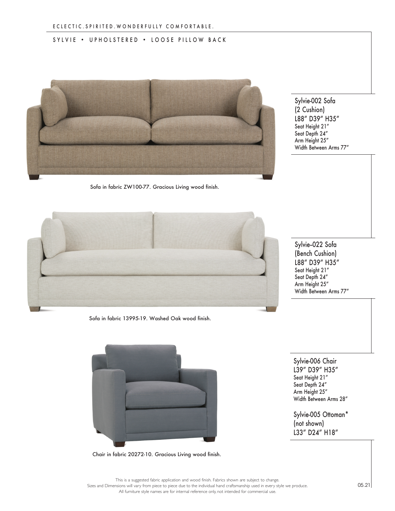## SYLVIE • UPHOLSTERED • LOOSE PILLOW BACK



Sofa in fabric ZW100-77. Gracious Living wood finish.

Sylvie-002 Sofa (2 Cushion) L88" D39" H35" Seat Height 21" Seat Depth 24" Arm Height 25" Width Between Arms 77"



Sofa in fabric 13995-19. Washed Oak wood finish.

Chair in fabric 20272-10. Gracious Living wood finish.

Sylvie-022 Sofa (Bench Cushion) L88" D39" H35" Seat Height 21" Seat Depth 24" Arm Height 25" Width Between Arms 77"

Sylvie-006 Chair L39" D39" H35" Seat Height 21" Seat Depth 24" Arm Height 25" Width Between Arms 28"

Sylvie-005 Ottoman\* (not shown) L33" D24" H18"